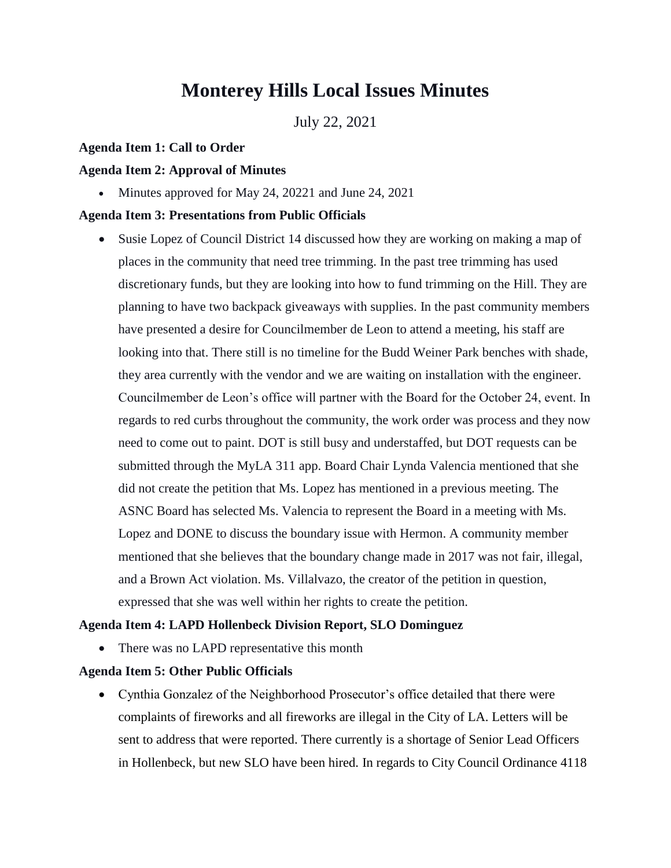# **Monterey Hills Local Issues Minutes**

July 22, 2021

## **Agenda Item 1: Call to Order**

## **Agenda Item 2: Approval of Minutes**

• Minutes approved for May 24, 20221 and June 24, 2021

## **Agenda Item 3: Presentations from Public Officials**

 Susie Lopez of Council District 14 discussed how they are working on making a map of places in the community that need tree trimming. In the past tree trimming has used discretionary funds, but they are looking into how to fund trimming on the Hill. They are planning to have two backpack giveaways with supplies. In the past community members have presented a desire for Councilmember de Leon to attend a meeting, his staff are looking into that. There still is no timeline for the Budd Weiner Park benches with shade, they area currently with the vendor and we are waiting on installation with the engineer. Councilmember de Leon's office will partner with the Board for the October 24, event. In regards to red curbs throughout the community, the work order was process and they now need to come out to paint. DOT is still busy and understaffed, but DOT requests can be submitted through the MyLA 311 app. Board Chair Lynda Valencia mentioned that she did not create the petition that Ms. Lopez has mentioned in a previous meeting. The ASNC Board has selected Ms. Valencia to represent the Board in a meeting with Ms. Lopez and DONE to discuss the boundary issue with Hermon. A community member mentioned that she believes that the boundary change made in 2017 was not fair, illegal, and a Brown Act violation. Ms. Villalvazo, the creator of the petition in question, expressed that she was well within her rights to create the petition.

#### **Agenda Item 4: LAPD Hollenbeck Division Report, SLO Dominguez**

• There was no LAPD representative this month

## **Agenda Item 5: Other Public Officials**

 Cynthia Gonzalez of the Neighborhood Prosecutor's office detailed that there were complaints of fireworks and all fireworks are illegal in the City of LA. Letters will be sent to address that were reported. There currently is a shortage of Senior Lead Officers in Hollenbeck, but new SLO have been hired. In regards to City Council Ordinance 4118